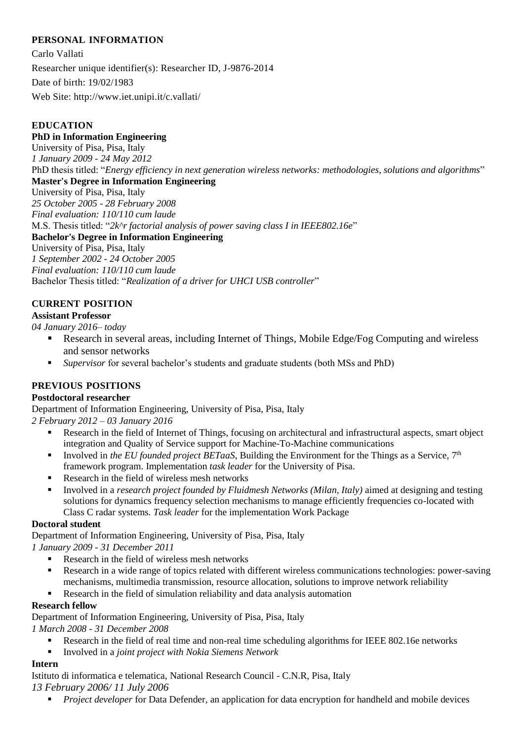# **PERSONAL INFORMATION**

Carlo Vallati Researcher unique identifier(s): Researcher ID, J-9876-2014 Date of birth: 19/02/1983 Web Site: http://www.iet.unipi.it/c.vallati/

# **EDUCATION**

## **PhD in Information Engineering**

University of Pisa, Pisa, Italy *1 January 2009 - 24 May 2012* PhD thesis titled: "*Energy efficiency in next generation wireless networks: methodologies, solutions and algorithms*" **Master's Degree in Information Engineering** 

University of Pisa, Pisa, Italy

*25 October 2005 - 28 February 2008*

*Final evaluation: 110/110 cum laude*

M.S. Thesis titled: "*2k^r factorial analysis of power saving class I in IEEE802.16e*"

# **Bachelor's Degree in Information Engineering**

University of Pisa, Pisa, Italy

*1 September 2002 - 24 October 2005 Final evaluation: 110/110 cum laude*

Bachelor Thesis titled: "*Realization of a driver for UHCI USB controller*"

# **CURRENT POSITION**

## **Assistant Professor**

*04 January 2016– today*

- Research in several areas, including Internet of Things, Mobile Edge/Fog Computing and wireless and sensor networks
- *Supervisor* for several bachelor's students and graduate students (both MSs and PhD)

# **PREVIOUS POSITIONS**

#### **Postdoctoral researcher**

Department of Information Engineering, University of Pisa, Pisa, Italy

*2 February 2012 – 03 January 2016*

- Research in the field of Internet of Things, focusing on architectural and infrastructural aspects, smart object integration and Quality of Service support for Machine-To-Machine communications
- Involved in *the EU founded project BETaaS*, Building the Environment for the Things as a Service, 7<sup>th</sup> framework program. Implementation *task leader* for the University of Pisa.
- Research in the field of wireless mesh networks
- Involved in a *research project founded by Fluidmesh Networks (Milan, Italy)* aimed at designing and testing solutions for dynamics frequency selection mechanisms to manage efficiently frequencies co-located with Class C radar systems. *Task leader* for the implementation Work Package

#### **Doctoral student**

Department of Information Engineering, University of Pisa, Pisa, Italy

*1 January 2009 - 31 December 2011*

- Research in the field of wireless mesh networks
- Research in a wide range of topics related with different wireless communications technologies: power-saving mechanisms, multimedia transmission, resource allocation, solutions to improve network reliability
- Research in the field of simulation reliability and data analysis automation

# **Research fellow**

Department of Information Engineering, University of Pisa, Pisa, Italy

*1 March 2008 - 31 December 2008*

- Research in the field of real time and non-real time scheduling algorithms for IEEE 802.16e networks
- Involved in a *joint project with Nokia Siemens Network*

# **Intern**

Istituto di informatica e telematica, National Research Council - C.N.R, Pisa, Italy

*13 February 2006/ 11 July 2006*

*Project developer* for Data Defender*,* an application for data encryption for handheld and mobile devices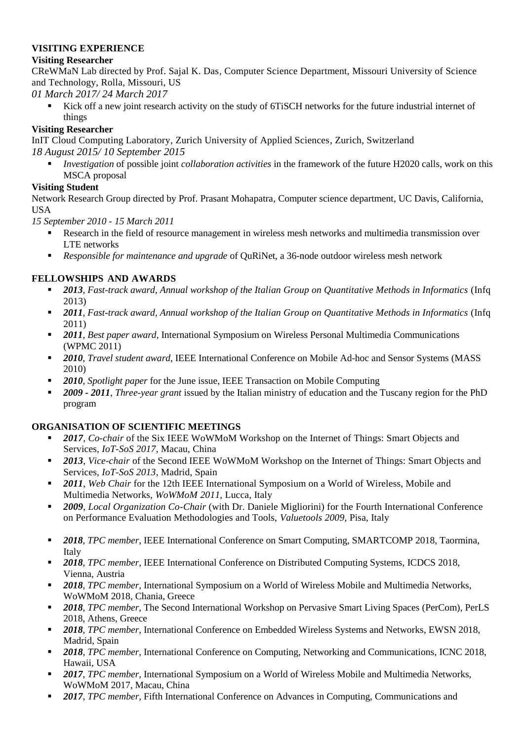## **VISITING EXPERIENCE**

## **Visiting Researcher**

CReWMaN Lab directed by Prof. Sajal K. Das, Computer Science Department, Missouri University of Science and Technology, Rolla, Missouri, US

*01 March 2017/ 24 March 2017*

 Kick off a new joint research activity on the study of 6TiSCH networks for the future industrial internet of things

# **Visiting Researcher**

InIT Cloud Computing Laboratory, Zurich University of Applied Sciences, Zurich, Switzerland *18 August 2015/ 10 September 2015*

 *Investigation* of possible joint *collaboration activities* in the framework of the future H2020 calls, work on this MSCA proposal

## **Visiting Student**

Network Research Group directed by Prof. Prasant Mohapatra, Computer science department, UC Davis, California, USA

*15 September 2010 - 15 March 2011*

- Research in the field of resource management in wireless mesh networks and multimedia transmission over LTE networks
- *Responsible for maintenance and upgrade* of QuRiNet, a 36-node outdoor wireless mesh network

# **FELLOWSHIPS AND AWARDS**

- *2013, Fast-track award, Annual workshop of the Italian Group on Quantitative Methods in Informatics* (Infq 2013)
- *2011, Fast-track award, Annual workshop of the Italian Group on Quantitative Methods in Informatics* (Infq 2011)
- *2011, Best paper award*, International Symposium on Wireless Personal Multimedia Communications (WPMC 2011)
- *2010, Travel student award*, IEEE International Conference on Mobile Ad-hoc and Sensor Systems (MASS 2010)
- *2010, Spotlight paper* for the June issue, IEEE Transaction on Mobile Computing
- *2009 - 2011*, *Three-year grant* issued by the Italian ministry of education and the Tuscany region for the PhD program

#### **ORGANISATION OF SCIENTIFIC MEETINGS**

- *2017*, *Co-chair* of the Six IEEE WoWMoM Workshop on the Internet of Things: Smart Objects and Services, *IoT-SoS 2017*, Macau, China
- *2013*, *Vice-chair* of the Second IEEE WoWMoM Workshop on the Internet of Things: Smart Objects and Services, *IoT-SoS 2013*, Madrid, Spain
- *2011*, *Web Chair* for the 12th IEEE International Symposium on a World of Wireless, Mobile and Multimedia Networks, *WoWMoM 2011*, Lucca, Italy
- *2009*, *Local Organization Co-Chair* (with Dr. Daniele Migliorini) for the Fourth International Conference on Performance Evaluation Methodologies and Tools, *Valuetools 2009*, Pisa, Italy
- *2018*, *TPC member,* IEEE International Conference on Smart Computing, SMARTCOMP 2018, Taormina, Italy
- *2018*, *TPC member,* IEEE International Conference on Distributed Computing Systems, ICDCS 2018, Vienna, Austria
- *2018*, *TPC member,* International Symposium on a World of Wireless Mobile and Multimedia Networks, WoWMoM 2018, Chania, Greece
- *2018*, *TPC member*, The Second International Workshop on Pervasive Smart Living Spaces (PerCom), PerLS 2018, Athens, Greece
- *2018*, *TPC member*, International Conference on Embedded Wireless Systems and Networks, EWSN 2018, Madrid, Spain
- *2018*, *TPC member,* International Conference on Computing, Networking and Communications, ICNC 2018, Hawaii, USA
- *2017*, *TPC member,* International Symposium on a World of Wireless Mobile and Multimedia Networks, WoWMoM 2017, Macau, China
- *2017*, *TPC member,* Fifth International Conference on Advances in Computing, Communications and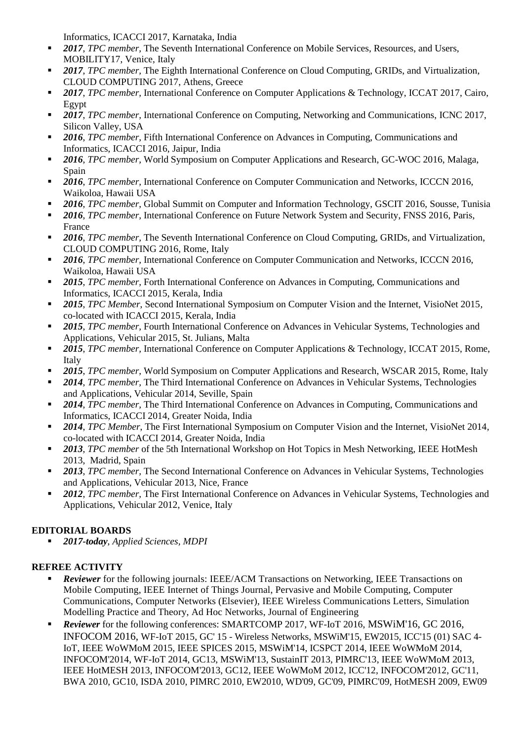Informatics, ICACCI 2017, Karnataka, India

- *2017*, *TPC member,* The Seventh International Conference on Mobile Services, Resources, and Users, MOBILITY17, Venice, Italy
- *2017*, *TPC member,* The Eighth International Conference on Cloud Computing, GRIDs, and Virtualization, CLOUD COMPUTING 2017, Athens, Greece
- *2017*, *TPC member,* International Conference on Computer Applications & Technology, ICCAT 2017, Cairo, Egypt
- *2017*, *TPC member,* International Conference on Computing, Networking and Communications, ICNC 2017, Silicon Valley, USA
- *2016*, *TPC member,* Fifth International Conference on Advances in Computing, Communications and Informatics, ICACCI 2016, Jaipur, India
- *2016*, *TPC member,* World Symposium on Computer Applications and Research, GC-WOC 2016, Malaga, Spain
- *2016*, *TPC member,* International Conference on Computer Communication and Networks, ICCCN 2016, Waikoloa, Hawaii USA
- *2016*, *TPC member,* Global Summit on Computer and Information Technology, GSCIT 2016, Sousse, Tunisia
- *2016*, *TPC member,* International Conference on Future Network System and Security, FNSS 2016, Paris, France
- 2016, *TPC member*, The Seventh International Conference on Cloud Computing, GRIDs, and Virtualization, CLOUD COMPUTING 2016, Rome, Italy
- *2016*, *TPC member,* International Conference on Computer Communication and Networks, ICCCN 2016, Waikoloa, Hawaii USA
- *2015*, *TPC member,* Forth International Conference on Advances in Computing, Communications and Informatics, ICACCI 2015, Kerala, India
- *2015*, *TPC Member*, Second International Symposium on Computer Vision and the Internet, VisioNet 2015*,*  co-located with ICACCI 2015, Kerala, India
- *2015*, *TPC member,* Fourth International Conference on Advances in Vehicular Systems, Technologies and Applications, Vehicular 2015, St. Julians, Malta
- *2015*, *TPC member,* International Conference on Computer Applications & Technology, ICCAT 2015, Rome, Italy
- *2015*, *TPC member,* World Symposium on Computer Applications and Research, WSCAR 2015, Rome, Italy
- *2014*, *TPC member,* The Third International Conference on Advances in Vehicular Systems, Technologies and Applications, Vehicular 2014, Seville, Spain
- *2014*, *TPC member,* The Third International Conference on Advances in Computing, Communications and Informatics, ICACCI 2014, Greater Noida, India
- *2014*, *TPC Member*, The First International Symposium on Computer Vision and the Internet, VisioNet 2014*,*  co-located with ICACCI 2014, Greater Noida, India
- *2013*, *TPC member* of the 5th International Workshop on Hot Topics in Mesh Networking, IEEE HotMesh 2013, Madrid, Spain
- *2013*, *TPC member,* The Second International Conference on Advances in Vehicular Systems, Technologies and Applications, Vehicular 2013, Nice, France
- 2012, *TPC member*, The First International Conference on Advances in Vehicular Systems, Technologies and Applications, Vehicular 2012, Venice, Italy

# **EDITORIAL BOARDS**

*2017-today*, *Applied Sciences, MDPI*

# **REFREE ACTIVITY**

- *Reviewer* for the following journals: IEEE/ACM Transactions on Networking, IEEE Transactions on Mobile Computing, IEEE Internet of Things Journal, Pervasive and Mobile Computing, Computer Communications, Computer Networks (Elsevier), IEEE Wireless Communications Letters, Simulation Modelling Practice and Theory, Ad Hoc Networks, Journal of Engineering
- *Reviewer* for the following conferences: SMARTCOMP 2017, WF-IoT 2016, MSWiM'16, GC 2016, INFOCOM 2016, WF-IoT 2015, GC' 15 - Wireless Networks, MSWiM'15, EW2015, ICC'15 (01) SAC 4- IoT, IEEE WoWMoM 2015, IEEE SPICES 2015, MSWiM'14, ICSPCT 2014, IEEE WoWMoM 2014, INFOCOM'2014, WF-IoT 2014, GC13, MSWiM'13, SustainIT 2013, PIMRC'13, IEEE WoWMoM 2013, IEEE HotMESH 2013, INFOCOM'2013, GC12, IEEE WoWMoM 2012, ICC'12, INFOCOM'2012, GC'11, BWA 2010, GC10, ISDA 2010, PIMRC 2010, EW2010, WD'09, GC'09, PIMRC'09, HotMESH 2009, EW09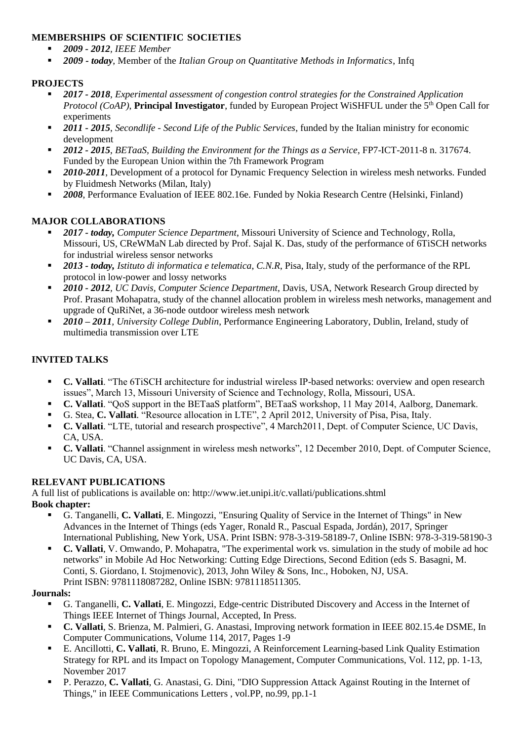## **MEMBERSHIPS OF SCIENTIFIC SOCIETIES**

- *2009 - 2012, IEEE Member*
- *2009 - today*, Member of the *Italian Group on Quantitative Methods in Informatics*, Infq

# **PROJECTS**

- *2017 - 2018*, *Experimental assessment of congestion control strategies for the Constrained Application Protocol (CoAP)*, **Principal Investigator**, funded by European Project WiSHFUL under the 5<sup>th</sup> Open Call for experiments
- *2011 - 2015*, *Secondlife - Second Life of the Public Services*, funded by the Italian ministry for economic development
- *2012 - 2015*, *BETaaS, Building the Environment for the Things as a Service*, FP7-ICT-2011-8 n. 317674. Funded by the European Union within the 7th Framework Program
- *2010-2011*, Development of a protocol for Dynamic Frequency Selection in wireless mesh networks. Funded by Fluidmesh Networks (Milan, Italy)
- **2008**, Performance Evaluation of IEEE 802.16e. Funded by Nokia Research Centre (Helsinki, Finland)

# **MAJOR COLLABORATIONS**

- *2017 - today, Computer Science Department*, Missouri University of Science and Technology, Rolla, Missouri, US, CReWMaN Lab directed by Prof. Sajal K. Das, study of the performance of 6TiSCH networks for industrial wireless sensor networks
- *2013 - today, Istituto di informatica e telematica*, *C.N.R*, Pisa, Italy, study of the performance of the RPL protocol in low-power and lossy networks
- *2010 - 2012, UC Davis, Computer Science Department*, Davis, USA, Network Research Group directed by Prof. Prasant Mohapatra, study of the channel allocation problem in wireless mesh networks, management and upgrade of QuRiNet, a 36-node outdoor wireless mesh network
- *2010 – 2011, University College Dublin*, Performance Engineering Laboratory, Dublin, Ireland, study of multimedia transmission over LTE

## **INVITED TALKS**

- **C. Vallati**. "The 6TiSCH architecture for industrial wireless IP-based networks: overview and open research issues", March 13, Missouri University of Science and Technology, Rolla, Missouri, USA.
- **C. Vallati**. "QoS support in the BETaaS platform", BETaaS workshop, 11 May 2014, Aalborg, Danemark.
- G. Stea, **C. Vallati**. "Resource allocation in LTE", 2 April 2012, University of Pisa, Pisa, Italy.
- **C. Vallati**. "LTE, tutorial and research prospective", 4 March2011, Dept. of Computer Science, UC Davis, CA, USA.
- **C. Vallati**. "Channel assignment in wireless mesh networks", 12 December 2010, Dept. of Computer Science, UC Davis, CA, USA.

#### **RELEVANT PUBLICATIONS**

A full list of publications is available on: http://www.iet.unipi.it/c.vallati/publications.shtml **Book chapter:**

- G. Tanganelli, **C. Vallati**, E. Mingozzi, "Ensuring Quality of Service in the Internet of Things" in New Advances in the Internet of Things (eds Yager, Ronald R., Pascual Espada, Jordán), 2017, Springer International Publishing, New York, USA. Print ISBN: 978-3-319-58189-7, Online ISBN: 978-3-319-58190-3
- **C. Vallati**, V. Omwando, P. Mohapatra, "The experimental work vs. simulation in the study of mobile ad hoc networks" in Mobile Ad Hoc Networking: Cutting Edge Directions, Second Edition (eds S. Basagni, M. Conti, S. Giordano, I. Stojmenovic), 2013, John Wiley & Sons, Inc., Hoboken, NJ, USA. Print ISBN: 9781118087282, Online ISBN: 9781118511305.

#### **Journals:**

- G. Tanganelli, **C. Vallati**, E. Mingozzi, Edge-centric Distributed Discovery and Access in the Internet of Things IEEE Internet of Things Journal, Accepted, In Press.
- **C. Vallati**, S. Brienza, M. Palmieri, G. Anastasi, Improving network formation in IEEE 802.15.4e DSME, In Computer Communications, Volume 114, 2017, Pages 1-9
- E. Ancillotti, **C. Vallati**, R. Bruno, E. Mingozzi, A Reinforcement Learning-based Link Quality Estimation Strategy for RPL and its Impact on Topology Management, Computer Communications, Vol. 112, pp. 1-13, November 2017
- P. Perazzo, **C. Vallati**, G. Anastasi, G. Dini, "DIO Suppression Attack Against Routing in the Internet of Things," in IEEE Communications Letters , vol.PP, no.99, pp.1-1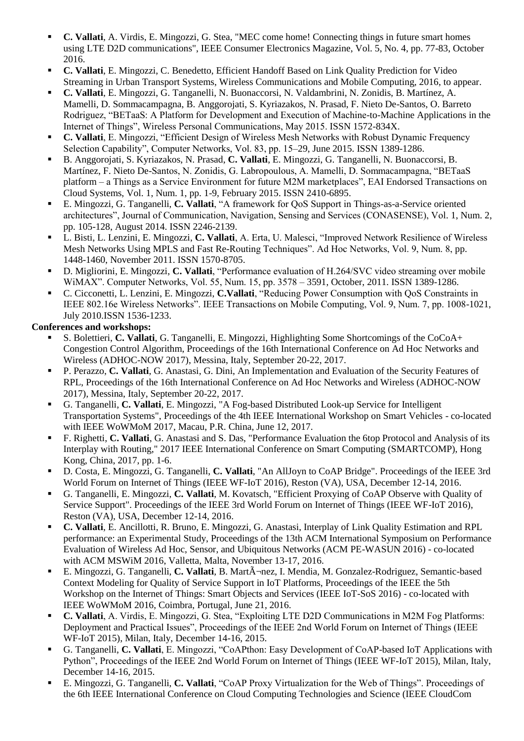- **C. Vallati**, A. Virdis, E. Mingozzi, G. Stea, "MEC come home! Connecting things in future smart homes using LTE D2D communications", IEEE Consumer Electronics Magazine, Vol. 5, No. 4, pp. 77-83, October 2016.
- **C. Vallati**, E. Mingozzi, C. Benedetto, Efficient Handoff Based on Link Quality Prediction for Video Streaming in Urban Transport Systems, Wireless Communications and Mobile Computing, 2016, to appear.
- **C. Vallati**, E. Mingozzi, G. Tanganelli, N. Buonaccorsi, N. Valdambrini, N. Zonidis, B. Martínez, A. Mamelli, D. Sommacampagna, B. Anggorojati, S. Kyriazakos, N. Prasad, F. Nieto De-Santos, O. Barreto Rodriguez, "BETaaS: A Platform for Development and Execution of Machine-to-Machine Applications in the Internet of Things", Wireless Personal Communications, May 2015. ISSN 1572-834X.
- **C. Vallati**, E. Mingozzi, "Efficient Design of Wireless Mesh Networks with Robust Dynamic Frequency Selection Capability", Computer Networks, Vol. 83, pp. 15–29, June 2015. ISSN 1389-1286.
- B. Anggorojati, S. Kyriazakos, N. Prasad, **C. Vallati**, E. Mingozzi, G. Tanganelli, N. Buonaccorsi, B. Martínez, F. Nieto De-Santos, N. Zonidis, G. Labropoulous, A. Mamelli, D. Sommacampagna, "BETaaS platform – a Things as a Service Environment for future M2M marketplaces", EAI Endorsed Transactions on Cloud Systems, Vol. 1, Num. 1, pp. 1-9, February 2015. ISSN 2410-6895.
- E. Mingozzi, G. Tanganelli, **C. Vallati**, "A framework for QoS Support in Things-as-a-Service oriented architectures", Journal of Communication, Navigation, Sensing and Services (CONASENSE), Vol. 1, Num. 2, pp. 105-128, August 2014. ISSN 2246-2139.
- L. Bisti, L. Lenzini, E. Mingozzi, **C. Vallati**, A. Erta, U. Malesci, "Improved Network Resilience of Wireless Mesh Networks Using MPLS and Fast Re-Routing Techniques". Ad Hoc Networks, Vol. 9, Num. 8, pp. 1448-1460, November 2011. ISSN 1570-8705.
- D. Migliorini, E. Mingozzi, **C. Vallati**, "Performance evaluation of H.264/SVC video streaming over mobile WiMAX". Computer Networks, Vol. 55, Num. 15, pp. 3578 – 3591, October, 2011. ISSN 1389-1286.
- C. Cicconetti, L. Lenzini, E. Mingozzi, **C.Vallati**, "Reducing Power Consumption with QoS Constraints in IEEE 802.16e Wireless Networks". IEEE Transactions on Mobile Computing, Vol. 9, Num. 7, pp. 1008-1021, July 2010.ISSN 1536-1233.

# **Conferences and workshops:**

- S. Bolettieri, **C. Vallati**, G. Tanganelli, E. Mingozzi, Highlighting Some Shortcomings of the CoCoA+ Congestion Control Algorithm, Proceedings of the 16th International Conference on Ad Hoc Networks and Wireless (ADHOC-NOW 2017), Messina, Italy, September 20-22, 2017.
- P. Perazzo, **C. Vallati**, G. Anastasi, G. Dini, An Implementation and Evaluation of the Security Features of RPL, Proceedings of the 16th International Conference on Ad Hoc Networks and Wireless (ADHOC-NOW 2017), Messina, Italy, September 20-22, 2017.
- G. Tanganelli, **C. Vallati**, E. Mingozzi, "A Fog-based Distributed Look-up Service for Intelligent Transportation Systems", Proceedings of the 4th IEEE International Workshop on Smart Vehicles - co-located with IEEE WoWMoM 2017, Macau, P.R. China, June 12, 2017.
- F. Righetti, **C. Vallati**, G. Anastasi and S. Das, "Performance Evaluation the 6top Protocol and Analysis of its Interplay with Routing," 2017 IEEE International Conference on Smart Computing (SMARTCOMP), Hong Kong, China, 2017, pp. 1-6.
- D. Costa, E. Mingozzi, G. Tanganelli, **C. Vallati**, "An AllJoyn to CoAP Bridge". Proceedings of the IEEE 3rd World Forum on Internet of Things (IEEE WF-IoT 2016), Reston (VA), USA, December 12-14, 2016.
- G. Tanganelli, E. Mingozzi, **C. Vallati**, M. Kovatsch, "Efficient Proxying of CoAP Observe with Quality of Service Support". Proceedings of the IEEE 3rd World Forum on Internet of Things (IEEE WF-IoT 2016), Reston (VA), USA, December 12-14, 2016.
- **C. Vallati**, E. Ancillotti, R. Bruno, E. Mingozzi, G. Anastasi, Interplay of Link Quality Estimation and RPL performance: an Experimental Study, Proceedings of the 13th ACM International Symposium on Performance Evaluation of Wireless Ad Hoc, Sensor, and Ubiquitous Networks (ACM PE-WASUN 2016) - co-located with ACM MSWiM 2016, Valletta, Malta, November 13-17, 2016.
- E. Mingozzi, G. Tanganelli, C. Vallati, B. Mart $\tilde{A}$ -nez, I. Mendia, M. Gonzalez-Rodriguez, Semantic-based Context Modeling for Quality of Service Support in IoT Platforms, Proceedings of the IEEE the 5th Workshop on the Internet of Things: Smart Objects and Services (IEEE IoT-SoS 2016) - co-located with IEEE WoWMoM 2016, Coimbra, Portugal, June 21, 2016.
- **C. Vallati**, A. Virdis, E. Mingozzi, G. Stea, "Exploiting LTE D2D Communications in M2M Fog Platforms: Deployment and Practical Issues", Proceedings of the IEEE 2nd World Forum on Internet of Things (IEEE WF-IoT 2015), Milan, Italy, December 14-16, 2015.
- G. Tanganelli, **C. Vallati**, E. Mingozzi, "CoAPthon: Easy Development of CoAP-based IoT Applications with Python", Proceedings of the IEEE 2nd World Forum on Internet of Things (IEEE WF-IoT 2015), Milan, Italy, December 14-16, 2015.
- E. Mingozzi, G. Tanganelli, **C. Vallati**, "CoAP Proxy Virtualization for the Web of Things". Proceedings of the 6th IEEE International Conference on Cloud Computing Technologies and Science (IEEE CloudCom